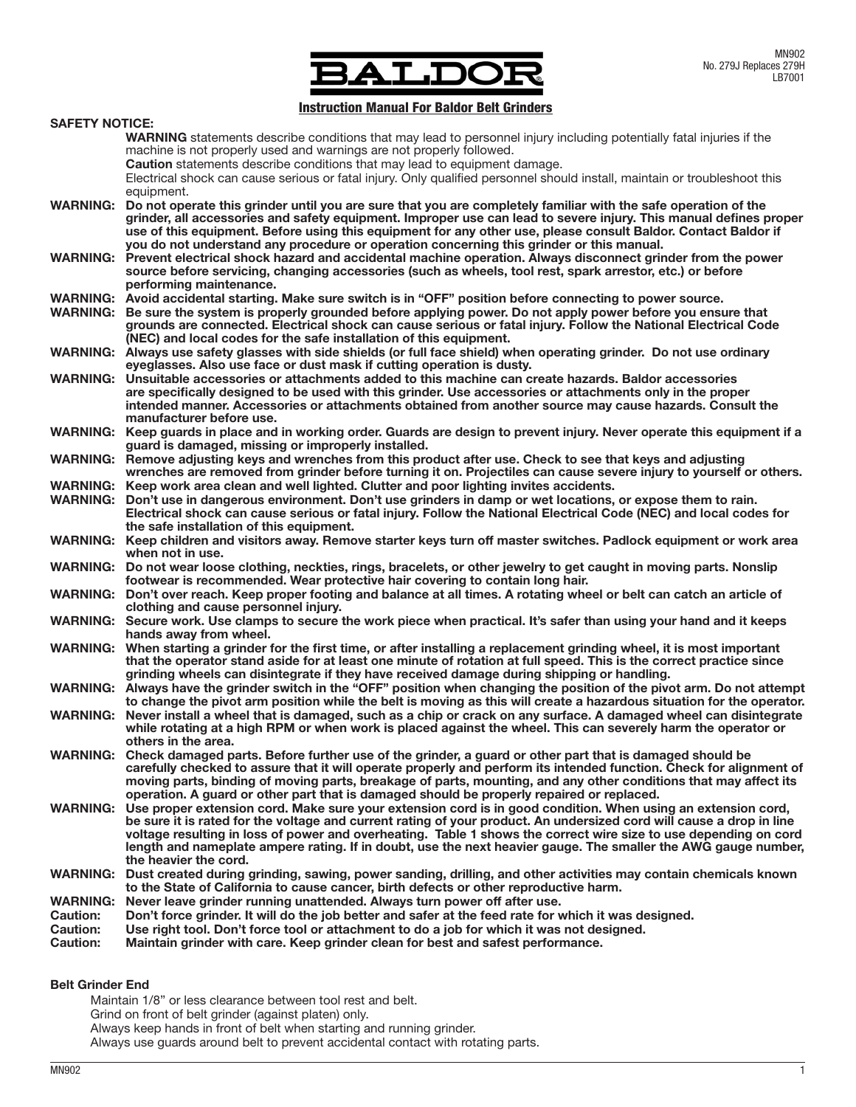

# **Instruction Manual For Baldor Belt Grinders**

| <b>SAFETY NOTICE:</b>              |                                                                                                                                                                                                                                      |  |  |  |  |  |  |
|------------------------------------|--------------------------------------------------------------------------------------------------------------------------------------------------------------------------------------------------------------------------------------|--|--|--|--|--|--|
|                                    | <b>WARNING</b> statements describe conditions that may lead to personnel injury including potentially fatal injuries if the                                                                                                          |  |  |  |  |  |  |
|                                    | machine is not properly used and warnings are not properly followed.                                                                                                                                                                 |  |  |  |  |  |  |
|                                    | Caution statements describe conditions that may lead to equipment damage.                                                                                                                                                            |  |  |  |  |  |  |
|                                    | Electrical shock can cause serious or fatal injury. Only qualified personnel should install, maintain or troubleshoot this<br>equipment.                                                                                             |  |  |  |  |  |  |
|                                    | WARNING: Do not operate this grinder until you are sure that you are completely familiar with the safe operation of the                                                                                                              |  |  |  |  |  |  |
|                                    | grinder, all accessories and safety equipment. Improper use can lead to severe injury. This manual defines proper                                                                                                                    |  |  |  |  |  |  |
|                                    | use of this equipment. Before using this equipment for any other use, please consult Baldor. Contact Baldor if                                                                                                                       |  |  |  |  |  |  |
|                                    | you do not understand any procedure or operation concerning this grinder or this manual.                                                                                                                                             |  |  |  |  |  |  |
|                                    | WARNING: Prevent electrical shock hazard and accidental machine operation. Always disconnect grinder from the power                                                                                                                  |  |  |  |  |  |  |
|                                    | source before servicing, changing accessories (such as wheels, tool rest, spark arrestor, etc.) or before                                                                                                                            |  |  |  |  |  |  |
|                                    | performing maintenance.                                                                                                                                                                                                              |  |  |  |  |  |  |
| <b>WARNING:</b>                    | WARNING: Avoid accidental starting. Make sure switch is in "OFF" position before connecting to power source.<br>Be sure the system is properly grounded before applying power. Do not apply power before you ensure that             |  |  |  |  |  |  |
|                                    | grounds are connected. Electrical shock can cause serious or fatal injury. Follow the National Electrical Code                                                                                                                       |  |  |  |  |  |  |
|                                    | (NEC) and local codes for the safe installation of this equipment.                                                                                                                                                                   |  |  |  |  |  |  |
|                                    | WARNING: Always use safety glasses with side shields (or full face shield) when operating grinder. Do not use ordinary                                                                                                               |  |  |  |  |  |  |
|                                    | eyeglasses. Also use face or dust mask if cutting operation is dusty.                                                                                                                                                                |  |  |  |  |  |  |
| <b>WARNING:</b>                    | Unsuitable accessories or attachments added to this machine can create hazards. Baldor accessories                                                                                                                                   |  |  |  |  |  |  |
|                                    | are specifically designed to be used with this grinder. Use accessories or attachments only in the proper                                                                                                                            |  |  |  |  |  |  |
|                                    | intended manner. Accessories or attachments obtained from another source may cause hazards. Consult the<br>manufacturer before use.                                                                                                  |  |  |  |  |  |  |
|                                    | WARNING: Keep guards in place and in working order. Guards are design to prevent injury. Never operate this equipment if a                                                                                                           |  |  |  |  |  |  |
|                                    | guard is damaged, missing or improperly installed.                                                                                                                                                                                   |  |  |  |  |  |  |
|                                    | WARNING: Remove adjusting keys and wrenches from this product after use. Check to see that keys and adjusting                                                                                                                        |  |  |  |  |  |  |
|                                    | wrenches are removed from grinder before turning it on. Projectiles can cause severe injury to yourself or others.                                                                                                                   |  |  |  |  |  |  |
|                                    | WARNING: Keep work area clean and well lighted. Clutter and poor lighting invites accidents.                                                                                                                                         |  |  |  |  |  |  |
|                                    | WARNING: Don't use in dangerous environment. Don't use grinders in damp or wet locations, or expose them to rain.                                                                                                                    |  |  |  |  |  |  |
|                                    | Electrical shock can cause serious or fatal injury. Follow the National Electrical Code (NEC) and local codes for<br>the safe installation of this equipment.                                                                        |  |  |  |  |  |  |
|                                    | WARNING: Keep children and visitors away. Remove starter keys turn off master switches. Padlock equipment or work area                                                                                                               |  |  |  |  |  |  |
|                                    | when not in use.                                                                                                                                                                                                                     |  |  |  |  |  |  |
|                                    | WARNING: Do not wear loose clothing, neckties, rings, bracelets, or other jewelry to get caught in moving parts. Nonslip                                                                                                             |  |  |  |  |  |  |
|                                    | footwear is recommended. Wear protective hair covering to contain long hair.                                                                                                                                                         |  |  |  |  |  |  |
|                                    | WARNING: Don't over reach. Keep proper footing and balance at all times. A rotating wheel or belt can catch an article of                                                                                                            |  |  |  |  |  |  |
|                                    | clothing and cause personnel injury.                                                                                                                                                                                                 |  |  |  |  |  |  |
|                                    | WARNING: Secure work. Use clamps to secure the work piece when practical. It's safer than using your hand and it keeps<br>hands away from wheel.                                                                                     |  |  |  |  |  |  |
|                                    | WARNING: When starting a grinder for the first time, or after installing a replacement grinding wheel, it is most important                                                                                                          |  |  |  |  |  |  |
|                                    | that the operator stand aside for at least one minute of rotation at full speed. This is the correct practice since                                                                                                                  |  |  |  |  |  |  |
|                                    | grinding wheels can disintegrate if they have received damage during shipping or handling.                                                                                                                                           |  |  |  |  |  |  |
|                                    | WARNING: Always have the grinder switch in the "OFF" position when changing the position of the pivot arm. Do not attempt                                                                                                            |  |  |  |  |  |  |
|                                    | to change the pivot arm position while the belt is moving as this will create a hazardous situation for the operator.                                                                                                                |  |  |  |  |  |  |
| <b>WARNING:</b>                    | Never install a wheel that is damaged, such as a chip or crack on any surface. A damaged wheel can disintegrate<br>while rotating at a high RPM or when work is placed against the wheel. This can severely harm the operator or     |  |  |  |  |  |  |
|                                    | others in the area.                                                                                                                                                                                                                  |  |  |  |  |  |  |
|                                    | WARNING: Check damaged parts. Before further use of the grinder, a guard or other part that is damaged should be                                                                                                                     |  |  |  |  |  |  |
|                                    | carefully checked to assure that it will operate properly and perform its intended function. Check for alignment of                                                                                                                  |  |  |  |  |  |  |
|                                    | moving parts, binding of moving parts, breakage of parts, mounting, and any other conditions that may affect its                                                                                                                     |  |  |  |  |  |  |
|                                    | operation. A guard or other part that is damaged should be properly repaired or replaced.                                                                                                                                            |  |  |  |  |  |  |
| <b>WARNING:</b>                    | Use proper extension cord. Make sure your extension cord is in good condition. When using an extension cord,<br>be sure it is rated for the voltage and current rating of your product. An undersized cord will cause a drop in line |  |  |  |  |  |  |
|                                    | voltage resulting in loss of power and overheating. Table 1 shows the correct wire size to use depending on cord                                                                                                                     |  |  |  |  |  |  |
|                                    | length and nameplate ampere rating. If in doubt, use the next heavier gauge. The smaller the AWG gauge number,                                                                                                                       |  |  |  |  |  |  |
|                                    | the heavier the cord.                                                                                                                                                                                                                |  |  |  |  |  |  |
|                                    | WARNING: Dust created during grinding, sawing, power sanding, drilling, and other activities may contain chemicals known                                                                                                             |  |  |  |  |  |  |
|                                    | to the State of California to cause cancer, birth defects or other reproductive harm.                                                                                                                                                |  |  |  |  |  |  |
| <b>WARNING:</b>                    | Never leave grinder running unattended. Always turn power off after use.                                                                                                                                                             |  |  |  |  |  |  |
| <b>Caution:</b><br><b>Caution:</b> | Don't force grinder. It will do the job better and safer at the feed rate for which it was designed.<br>Use right tool. Don't force tool or attachment to do a job for which it was not designed.                                    |  |  |  |  |  |  |
| <b>Caution:</b>                    | Maintain grinder with care. Keep grinder clean for best and safest performance.                                                                                                                                                      |  |  |  |  |  |  |
|                                    |                                                                                                                                                                                                                                      |  |  |  |  |  |  |
|                                    |                                                                                                                                                                                                                                      |  |  |  |  |  |  |

# Belt Grinder End

Maintain 1/8" or less clearance between tool rest and belt.

Grind on front of belt grinder (against platen) only.

Always keep hands in front of belt when starting and running grinder.

Always use guards around belt to prevent accidental contact with rotating parts.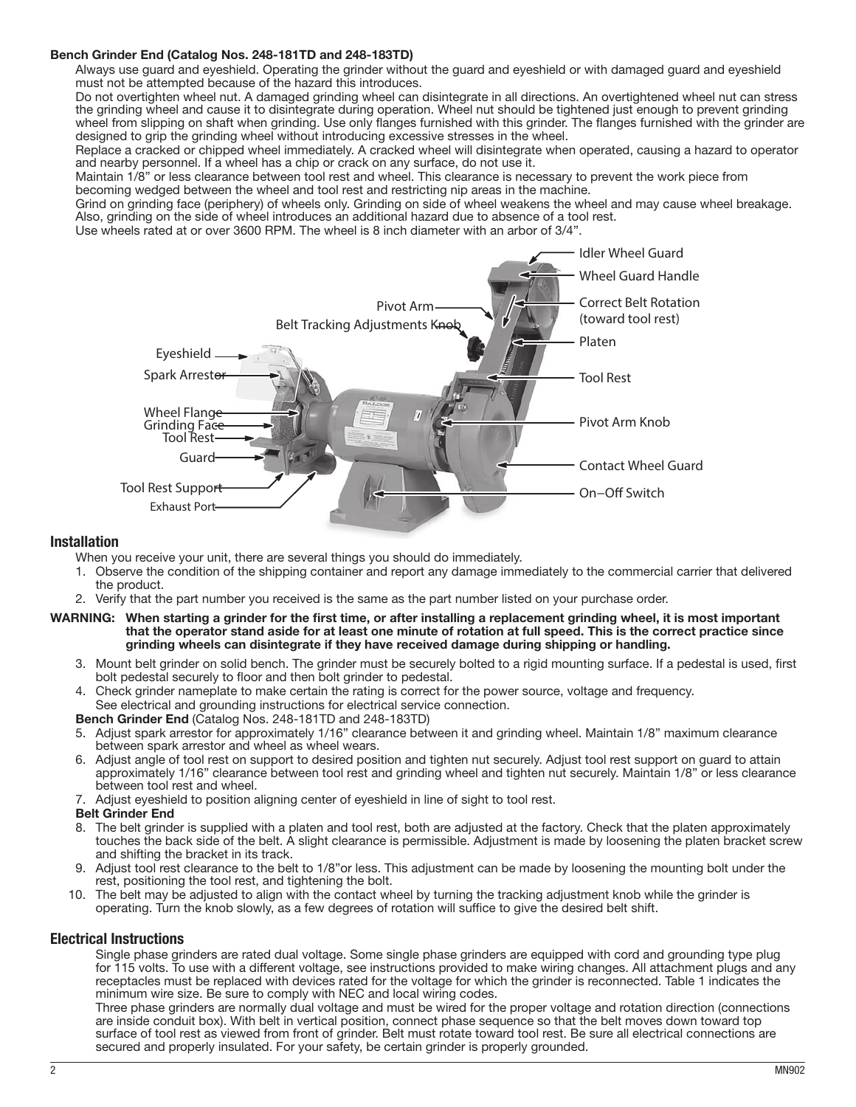## Bench Grinder End (Catalog Nos. 248-181TD and 248-183TD)

Always use guard and eyeshield. Operating the grinder without the guard and eyeshield or with damaged guard and eyeshield must not be attempted because of the hazard this introduces.

Do not overtighten wheel nut. A damaged grinding wheel can disintegrate in all directions. An overtightened wheel nut can stress the grinding wheel and cause it to disintegrate during operation. Wheel nut should be tightened just enough to prevent grinding wheel from slipping on shaft when grinding. Use only flanges furnished with this grinder. The flanges furnished with the grinder are designed to grip the grinding wheel without introducing excessive stresses in the wheel.

Replace a cracked or chipped wheel immediately. A cracked wheel will disintegrate when operated, causing a hazard to operator and nearby personnel. If a wheel has a chip or crack on any surface, do not use it.

Maintain 1/8" or less clearance between tool rest and wheel. This clearance is necessary to prevent the work piece from becoming wedged between the wheel and tool rest and restricting nip areas in the machine.

Grind on grinding face (periphery) of wheels only. Grinding on side of wheel weakens the wheel and may cause wheel breakage. Also, grinding on the side of wheel introduces an additional hazard due to absence of a tool rest.

Use wheels rated at or over 3600 RPM. The wheel is 8 inch diameter with an arbor of 3/4".



## Installation

When you receive your unit, there are several things you should do immediately.

- 1. Observe the condition of the shipping container and report any damage immediately to the commercial carrier that delivered the product.
- 2. Verify that the part number you received is the same as the part number listed on your purchase order.

#### WARNING: When starting a grinder for the first time, or after installing a replacement grinding wheel, it is most important that the operator stand aside for at least one minute of rotation at full speed. This is the correct practice since grinding wheels can disintegrate if they have received damage during shipping or handling.

- 3. Mount belt grinder on solid bench. The grinder must be securely bolted to a rigid mounting surface. If a pedestal is used, first bolt pedestal securely to floor and then bolt grinder to pedestal.
- 4. Check grinder nameplate to make certain the rating is correct for the power source, voltage and frequency. See electrical and grounding instructions for electrical service connection.

### Bench Grinder End (Catalog Nos. 248-181TD and 248-183TD)

- 5. Adjust spark arrestor for approximately 1/16" clearance between it and grinding wheel. Maintain 1/8" maximum clearance between spark arrestor and wheel as wheel wears.
- 6. Adjust angle of tool rest on support to desired position and tighten nut securely. Adjust tool rest support on guard to attain approximately 1/16" clearance between tool rest and grinding wheel and tighten nut securely. Maintain 1/8" or less clearance between tool rest and wheel.
- 7. Adjust eyeshield to position aligning center of eyeshield in line of sight to tool rest.

## Belt Grinder End

- 8. The belt grinder is supplied with a platen and tool rest, both are adjusted at the factory. Check that the platen approximately touches the back side of the belt. A slight clearance is permissible. Adjustment is made by loosening the platen bracket screw and shifting the bracket in its track.
- 9. Adjust tool rest clearance to the belt to 1/8"or less. This adjustment can be made by loosening the mounting bolt under the rest, positioning the tool rest, and tightening the bolt.
- 10. The belt may be adjusted to align with the contact wheel by turning the tracking adjustment knob while the grinder is operating. Turn the knob slowly, as a few degrees of rotation will suffice to give the desired belt shift.

## Electrical Instructions

Single phase grinders are rated dual voltage. Some single phase grinders are equipped with cord and grounding type plug for 115 volts. To use with a different voltage, see instructions provided to make wiring changes. All attachment plugs and any receptacles must be replaced with devices rated for the voltage for which the grinder is reconnected. Table 1 indicates the minimum wire size. Be sure to comply with NEC and local wiring codes.

Three phase grinders are normally dual voltage and must be wired for the proper voltage and rotation direction (connections are inside conduit box). With belt in vertical position, connect phase sequence so that the belt moves down toward top surface of tool rest as viewed from front of grinder. Belt must rotate toward tool rest. Be sure all electrical connections are secured and properly insulated. For your safety, be certain grinder is properly grounded.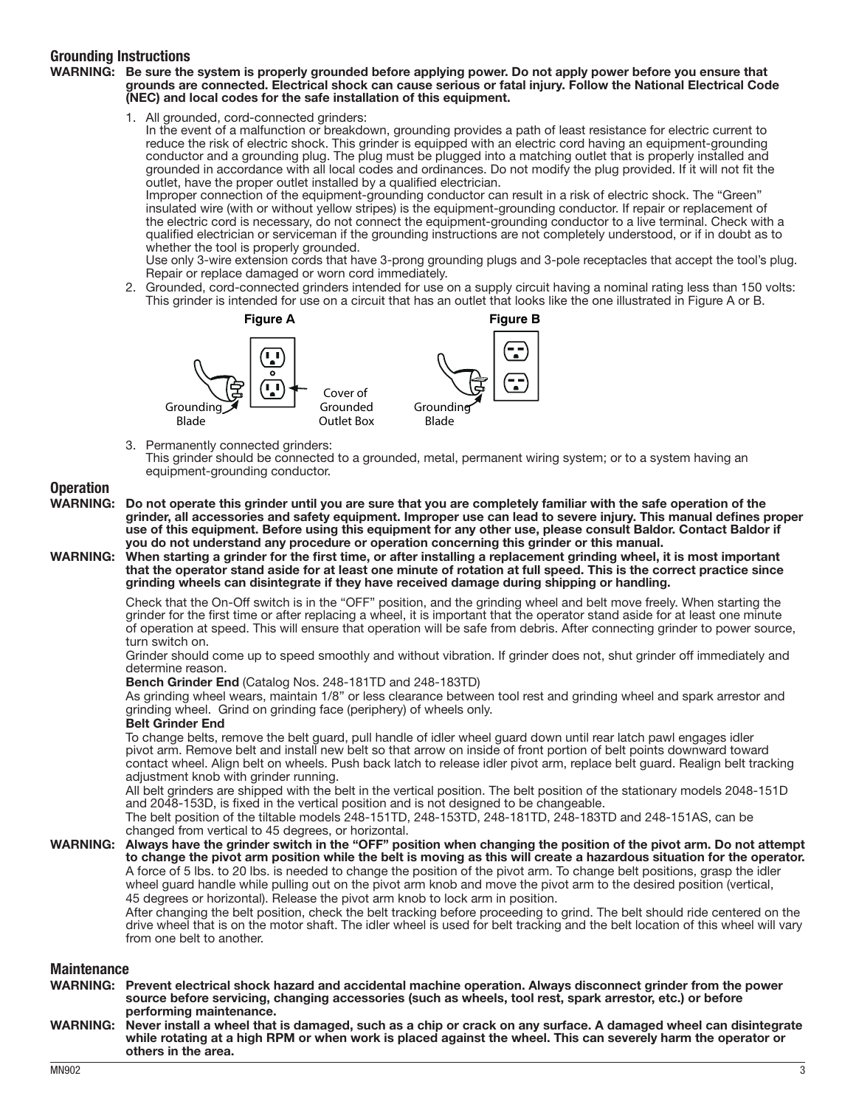# Grounding Instructions

### WARNING: Be sure the system is properly grounded before applying power. Do not apply power before you ensure that grounds are connected. Electrical shock can cause serious or fatal injury. Follow the National Electrical Code (NEC) and local codes for the safe installation of this equipment.

1. All grounded, cord-connected grinders:

In the event of a malfunction or breakdown, grounding provides a path of least resistance for electric current to reduce the risk of electric shock. This grinder is equipped with an electric cord having an equipment-grounding conductor and a grounding plug. The plug must be plugged into a matching outlet that is properly installed and grounded in accordance with all local codes and ordinances. Do not modify the plug provided. If it will not fit the outlet, have the proper outlet installed by a qualified electrician.

Improper connection of the equipment-grounding conductor can result in a risk of electric shock. The "Green" insulated wire (with or without yellow stripes) is the equipment-grounding conductor. If repair or replacement of the electric cord is necessary, do not connect the equipment-grounding conductor to a live terminal. Check with a qualified electrician or serviceman if the grounding instructions are not completely understood, or if in doubt as to whether the tool is properly grounded.

Use only 3-wire extension cords that have 3-prong grounding plugs and 3-pole receptacles that accept the tool's plug. Repair or replace damaged or worn cord immediately.

2. Grounded, cord-connected grinders intended for use on a supply circuit having a nominal rating less than 150 volts: This grinder is intended for use on a circuit that has an outlet that looks like the one illustrated in Figure A or B.



3. Permanently connected grinders:

This grinder should be connected to a grounded, metal, permanent wiring system; or to a system having an equipment-grounding conductor.

# Operation

- WARNING: Do not operate this grinder until you are sure that you are completely familiar with the safe operation of the grinder, all accessories and safety equipment. Improper use can lead to severe injury. This manual defines proper use of this equipment. Before using this equipment for any other use, please consult Baldor. Contact Baldor if you do not understand any procedure or operation concerning this grinder or this manual.
- WARNING: When starting a grinder for the first time, or after installing a replacement grinding wheel, it is most important that the operator stand aside for at least one minute of rotation at full speed. This is the correct practice since grinding wheels can disintegrate if they have received damage during shipping or handling.

Check that the On-Off switch is in the "OFF" position, and the grinding wheel and belt move freely. When starting the grinder for the first time or after replacing a wheel, it is important that the operator stand aside for at least one minute of operation at speed. This will ensure that operation will be safe from debris. After connecting grinder to power source, turn switch on.

Grinder should come up to speed smoothly and without vibration. If grinder does not, shut grinder off immediately and determine reason.

### Bench Grinder End (Catalog Nos. 248-181TD and 248-183TD)

As grinding wheel wears, maintain 1/8" or less clearance between tool rest and grinding wheel and spark arrestor and grinding wheel. Grind on grinding face (periphery) of wheels only.

### Belt Grinder End

To change belts, remove the belt guard, pull handle of idler wheel guard down until rear latch pawl engages idler pivot arm. Remove belt and install new belt so that arrow on inside of front portion of belt points downward toward contact wheel. Align belt on wheels. Push back latch to release idler pivot arm, replace belt guard. Realign belt tracking adjustment knob with grinder running.

All belt grinders are shipped with the belt in the vertical position. The belt position of the stationary models 2048-151D and 2048-153D, is fixed in the vertical position and is not designed to be changeable.

The belt position of the tiltable models 248-151TD, 248-153TD, 248-181TD, 248-183TD and 248-151AS, can be changed from vertical to 45 degrees, or horizontal.

### WARNING: Always have the grinder switch in the "OFF" position when changing the position of the pivot arm. Do not attempt to change the pivot arm position while the belt is moving as this will create a hazardous situation for the operator. A force of 5 lbs. to 20 lbs. is needed to change the position of the pivot arm. To change belt positions, grasp the idler wheel guard handle while pulling out on the pivot arm knob and move the pivot arm to the desired position (vertical, 45 degrees or horizontal). Release the pivot arm knob to lock arm in position.

After changing the belt position, check the belt tracking before proceeding to grind. The belt should ride centered on the drive wheel that is on the motor shaft. The idler wheel is used for belt tracking and the belt location of this wheel will vary from one belt to another.

## **Maintenance**

WARNING: Prevent electrical shock hazard and accidental machine operation. Always disconnect grinder from the power source before servicing, changing accessories (such as wheels, tool rest, spark arrestor, etc.) or before performing maintenance.

WARNING: Never install a wheel that is damaged, such as a chip or crack on any surface. A damaged wheel can disintegrate while rotating at a high RPM or when work is placed against the wheel. This can severely harm the operator or others in the area.